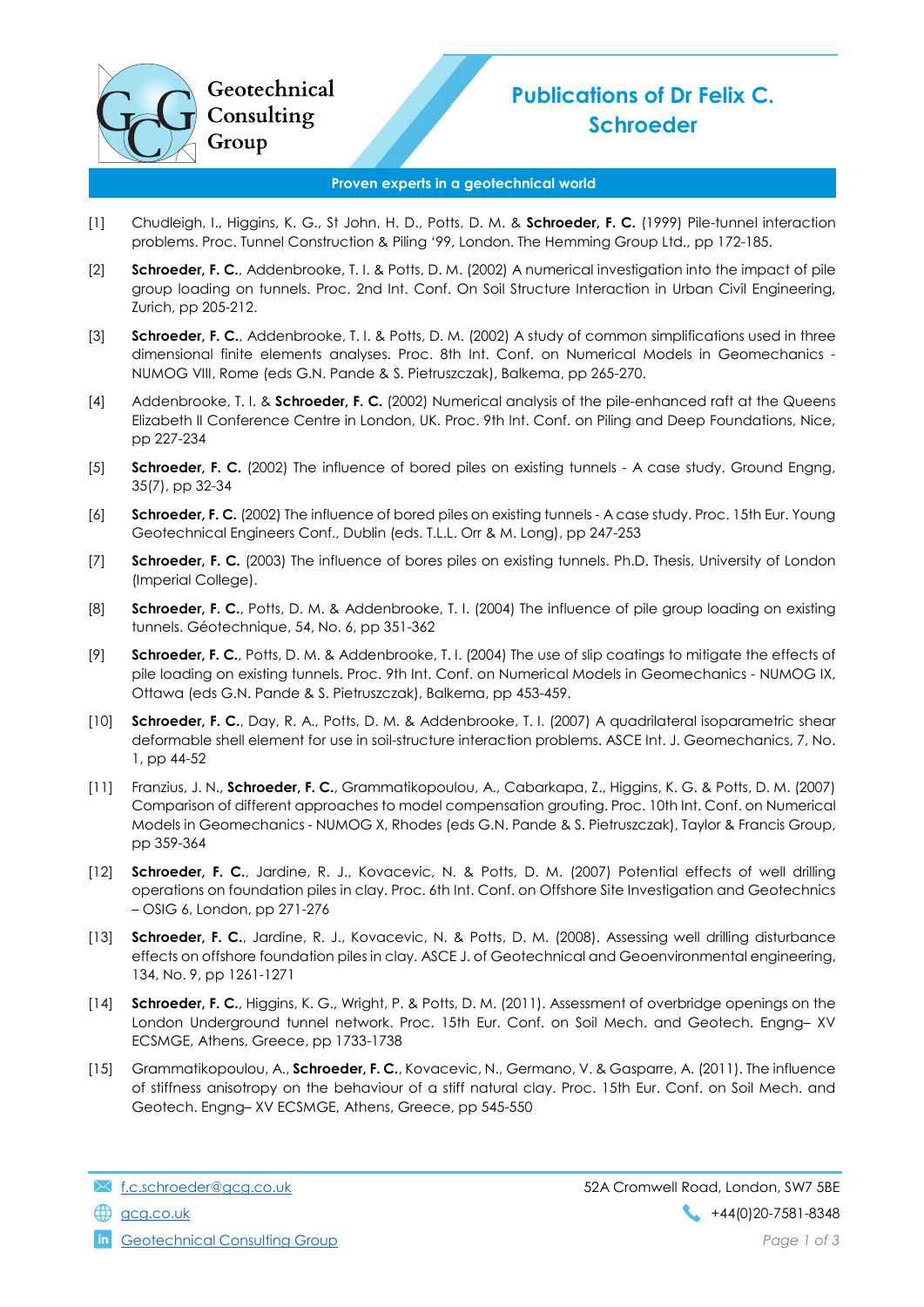

## Publications of Dr Felix C. Schroeder

## Proven experts in a geotechnical world

- [1] Chudleigh, I., Higgins, K. G., St John, H. D., Potts, D. M. & Schroeder, F. C. (1999) Pile-tunnel interaction problems. Proc. Tunnel Construction & Piling '99, London. The Hemming Group Ltd., pp 172-185.
- [2] Schroeder, F. C., Addenbrooke, T. I. & Potts, D. M. (2002) A numerical investigation into the impact of pile group loading on tunnels. Proc. 2nd Int. Conf. On Soil Structure Interaction in Urban Civil Engineering, Zurich, pp 205-212.
- [3] Schroeder, F. C., Addenbrooke, T. I. & Potts, D. M. (2002) A study of common simplifications used in three dimensional finite elements analyses. Proc. 8th Int. Conf. on Numerical Models in Geomechanics - NUMOG VIII, Rome (eds G.N. Pande & S. Pietruszczak), Balkema, pp 265-270.
- [4] Addenbrooke, T. I. & Schroeder, F. C. (2002) Numerical analysis of the pile-enhanced raft at the Queens Elizabeth II Conference Centre in London, UK. Proc. 9th Int. Conf. on Piling and Deep Foundations, Nice, pp 227-234
- [5] Schroeder, F. C. (2002) The influence of bored piles on existing tunnels A case study. Ground Engng, 35(7), pp 32-34
- [6] Schroeder, F. C. (2002) The influence of bored piles on existing tunnels A case study. Proc. 15th Eur. Young Geotechnical Engineers Conf., Dublin (eds. T.L.L. Orr & M. Long), pp 247-253
- [7] Schroeder, F. C. (2003) The influence of bores piles on existing tunnels. Ph.D. Thesis, University of London (Imperial College).
- [8] Schroeder, F. C., Potts, D. M. & Addenbrooke, T. I. (2004) The influence of pile group loading on existing tunnels. Géotechnique, 54, No. 6, pp 351-362
- [9] Schroeder, F. C., Potts, D. M. & Addenbrooke, T. I. (2004) The use of slip coatings to mitigate the effects of pile loading on existing tunnels. Proc. 9th Int. Conf. on Numerical Models in Geomechanics - NUMOG IX, Ottawa (eds G.N. Pande & S. Pietruszczak), Balkema, pp 453-459.
- [10] Schroeder, F. C., Day, R. A., Potts, D. M. & Addenbrooke, T. I. (2007) A quadrilateral isoparametric shear deformable shell element for use in soil-structure interaction problems. ASCE Int. J. Geomechanics, 7, No. 1, pp 44-52
- [11] Franzius, J. N., Schroeder, F. C., Grammatikopoulou, A., Cabarkapa, Z., Higgins, K. G. & Potts, D. M. (2007) Comparison of different approaches to model compensation grouting. Proc. 10th Int. Conf. on Numerical Models in Geomechanics - NUMOG X, Rhodes (eds G.N. Pande & S. Pietruszczak), Taylor & Francis Group, pp 359-364
- [12] Schroeder, F. C., Jardine, R. J., Kovacevic, N. & Potts, D. M. (2007) Potential effects of well drilling operations on foundation piles in clay. Proc. 6th Int. Conf. on Offshore Site Investigation and Geotechnics – OSIG 6, London, pp 271-276
- [13] Schroeder, F. C., Jardine, R. J., Kovacevic, N. & Potts, D. M. (2008). Assessing well drilling disturbance effects on offshore foundation piles in clay. ASCE J. of Geotechnical and Geoenvironmental engineering, 134, No. 9, pp 1261-1271
- [14] Schroeder, F. C., Higgins, K. G., Wright, P. & Potts, D. M. (2011). Assessment of overbridge openings on the London Underground tunnel network. Proc. 15th Eur. Conf. on Soil Mech. and Geotech. Engng– XV ECSMGE, Athens, Greece, pp 1733-1738
- [15] Grammatikopoulou, A., Schroeder, F. C., Kovacevic, N., Germano, V. & Gasparre, A. (2011). The influence of stiffness anisotropy on the behaviour of a stiff natural clay. Proc. 15th Eur. Conf. on Soil Mech. and Geotech. Engng– XV ECSMGE, Athens, Greece, pp 545-550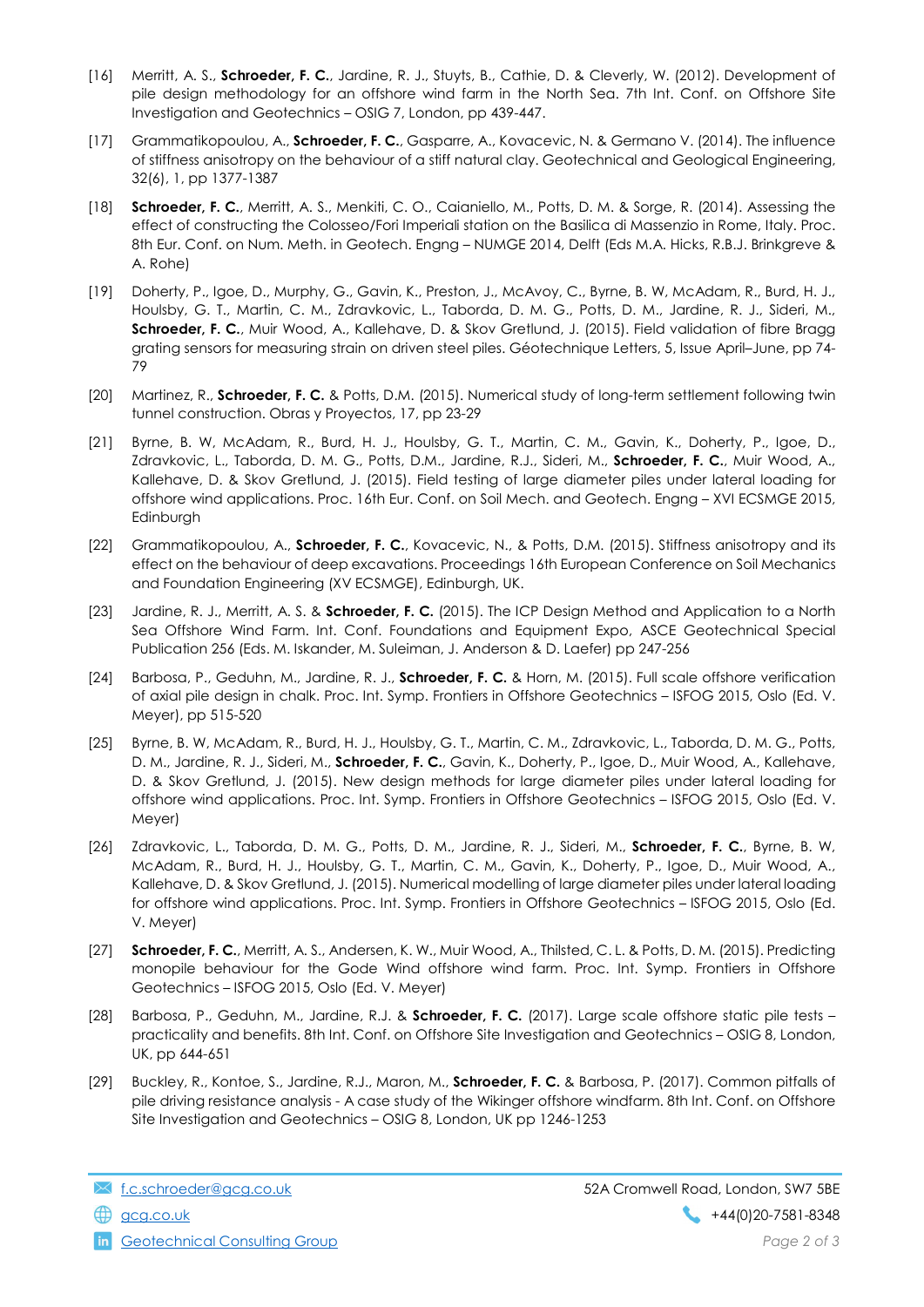- [16] Merritt, A. S., Schroeder, F. C., Jardine, R. J., Stuyts, B., Cathie, D. & Cleverly, W. (2012). Development of pile design methodology for an offshore wind farm in the North Sea. 7th Int. Conf. on Offshore Site Investigation and Geotechnics – OSIG 7, London, pp 439-447.
- [17] Grammatikopoulou, A., Schroeder, F. C., Gasparre, A., Kovacevic, N. & Germano V. (2014). The influence of stiffness anisotropy on the behaviour of a stiff natural clay. Geotechnical and Geological Engineering, 32(6), 1, pp 1377-1387
- [18] Schroeder, F. C., Merritt, A. S., Menkiti, C. O., Caianiello, M., Potts, D. M. & Sorge, R. (2014). Assessing the effect of constructing the Colosseo/Fori Imperiali station on the Basilica di Massenzio in Rome, Italy. Proc. 8th Eur. Conf. on Num. Meth. in Geotech. Engng – NUMGE 2014, Delft (Eds M.A. Hicks, R.B.J. Brinkgreve & A. Rohe)
- [19] Doherty, P., Igoe, D., Murphy, G., Gavin, K., Preston, J., McAvoy, C., Byrne, B. W, McAdam, R., Burd, H. J., Houlsby, G. T., Martin, C. M., Zdravkovic, L., Taborda, D. M. G., Potts, D. M., Jardine, R. J., Sideri, M., Schroeder, F. C., Muir Wood, A., Kallehave, D. & Skov Gretlund, J. (2015). Field validation of fibre Bragg grating sensors for measuring strain on driven steel piles. Géotechnique Letters, 5, Issue April–June, pp 74- 79
- [20] Martinez, R., Schroeder, F. C. & Potts, D.M. (2015). Numerical study of long-term settlement following twin tunnel construction. Obras y Proyectos, 17, pp 23-29
- [21] Byrne, B. W, McAdam, R., Burd, H. J., Houlsby, G. T., Martin, C. M., Gavin, K., Doherty, P., Igoe, D., Zdravkovic, L., Taborda, D. M. G., Potts, D.M., Jardine, R.J., Sideri, M., Schroeder, F. C., Muir Wood, A., Kallehave, D. & Skov Gretlund, J. (2015). Field testing of large diameter piles under lateral loading for offshore wind applications. Proc. 16th Eur. Conf. on Soil Mech. and Geotech. Engng – XVI ECSMGE 2015, Edinburgh
- [22] Grammatikopoulou, A., Schroeder, F. C., Kovacevic, N., & Potts, D.M. (2015). Stiffness anisotropy and its effect on the behaviour of deep excavations. Proceedings 16th European Conference on Soil Mechanics and Foundation Engineering (XV ECSMGE), Edinburgh, UK.
- [23] Jardine, R. J., Merritt, A. S. & Schroeder, F. C. (2015). The ICP Design Method and Application to a North Sea Offshore Wind Farm. Int. Conf. Foundations and Equipment Expo, ASCE Geotechnical Special Publication 256 (Eds. M. Iskander, M. Suleiman, J. Anderson & D. Laefer) pp 247-256
- [24] Barbosa, P., Geduhn, M., Jardine, R. J., Schroeder, F. C. & Horn, M. (2015). Full scale offshore verification of axial pile design in chalk. Proc. Int. Symp. Frontiers in Offshore Geotechnics – ISFOG 2015, Oslo (Ed. V. Meyer), pp 515-520
- [25] Byrne, B. W, McAdam, R., Burd, H. J., Houlsby, G. T., Martin, C. M., Zdravkovic, L., Taborda, D. M. G., Potts, D. M., Jardine, R. J., Sideri, M., Schroeder, F. C., Gavin, K., Doherty, P., Igoe, D., Muir Wood, A., Kallehave, D. & Skov Gretlund, J. (2015). New design methods for large diameter piles under lateral loading for offshore wind applications. Proc. Int. Symp. Frontiers in Offshore Geotechnics – ISFOG 2015, Oslo (Ed. V. Meyer)
- [26] Zdravkovic, L., Taborda, D. M. G., Potts, D. M., Jardine, R. J., Sideri, M., Schroeder, F. C., Byrne, B. W, McAdam, R., Burd, H. J., Houlsby, G. T., Martin, C. M., Gavin, K., Doherty, P., Igoe, D., Muir Wood, A., Kallehave, D. & Skov Gretlund, J. (2015). Numerical modelling of large diameter piles under lateral loading for offshore wind applications. Proc. Int. Symp. Frontiers in Offshore Geotechnics – ISFOG 2015, Oslo (Ed. V. Meyer)
- [27] Schroeder, F. C., Merritt, A. S., Andersen, K. W., Muir Wood, A., Thilsted, C. L. & Potts, D. M. (2015). Predicting monopile behaviour for the Gode Wind offshore wind farm. Proc. Int. Symp. Frontiers in Offshore Geotechnics – ISFOG 2015, Oslo (Ed. V. Meyer)
- [28] Barbosa, P., Geduhn, M., Jardine, R.J. & Schroeder, F. C. (2017). Large scale offshore static pile tests practicality and benefits. 8th Int. Conf. on Offshore Site Investigation and Geotechnics – OSIG 8, London, UK, pp 644-651
- [29] Buckley, R., Kontoe, S., Jardine, R.J., Maron, M., Schroeder, F. C. & Barbosa, P. (2017). Common pitfalls of pile driving resistance analysis - A case study of the Wikinger offshore windfarm. 8th Int. Conf. on Offshore Site Investigation and Geotechnics – OSIG 8, London, UK pp 1246-1253

**in** Geotechnical Consulting Group **Page 2 of 3** and 2 of 3